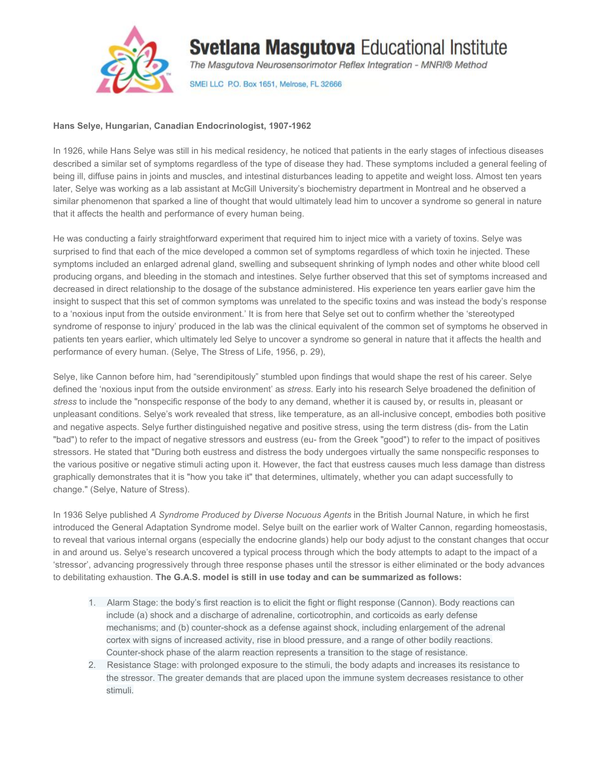

## **Svetlana Masgutova Educational Institute**

The Masgutova Neurosensorimotor Reflex Integration - MNRI® Method

SMEI LLC P.O. Box 1651, Melrose, FL 32666

## **Hans Selye, Hungarian, Canadian Endocrinologist, 1907-1962**

In 1926, while Hans Selye was still in his medical residency, he noticed that patients in the early stages of infectious diseases described a similar set of symptoms regardless of the type of disease they had. These symptoms included a general feeling of being ill, diffuse pains in joints and muscles, and intestinal disturbances leading to appetite and weight loss. Almost ten years later, Selye was working as a lab assistant at McGill University's biochemistry department in Montreal and he observed a similar phenomenon that sparked a line of thought that would ultimately lead him to uncover a syndrome so general in nature that it affects the health and performance of every human being.

He was conducting a fairly straightforward experiment that required him to inject mice with a variety of toxins. Selye was surprised to find that each of the mice developed a common set of symptoms regardless of which toxin he injected. These symptoms included an enlarged adrenal gland, swelling and subsequent shrinking of lymph nodes and other white blood cell producing organs, and bleeding in the stomach and intestines. Selye further observed that this set of symptoms increased and decreased in direct relationship to the dosage of the substance administered. His experience ten years earlier gave him the insight to suspect that this set of common symptoms was unrelated to the specific toxins and was instead the body's response to a 'noxious input from the outside environment.' It is from here that Selye set out to confirm whether the 'stereotyped syndrome of response to injury' produced in the lab was the clinical equivalent of the common set of symptoms he observed in patients ten years earlier, which ultimately led Selye to uncover a syndrome so general in nature that it affects the health and performance of every human. (Selye, The Stress of Life, 1956, p. 29),

Selye, like Cannon before him, had "serendipitously" stumbled upon findings that would shape the rest of his career. Selye defined the 'noxious input from the outside environment' as *stress*. Early into his research Selye broadened the definition of *stress* to include the "nonspecific response of the body to any demand, whether it is caused by, or results in, pleasant or unpleasant conditions. Selye's work revealed that stress, like temperature, as an all-inclusive concept, embodies both positive and negative aspects. Selye further distinguished negative and positive stress, using the term distress (dis- from the Latin "bad") to refer to the impact of negative stressors and eustress (eu- from the Greek "good") to refer to the impact of positives stressors. He stated that "During both eustress and distress the body undergoes virtually the same nonspecific responses to the various positive or negative stimuli acting upon it. However, the fact that eustress causes much less damage than distress graphically demonstrates that it is "how you take it" that determines, ultimately, whether you can adapt successfully to change." (Selye, Nature of Stress).

In 1936 Selye published *A Syndrome Produced by Diverse Nocuous Agents* in the British Journal Nature, in which he first introduced the General Adaptation Syndrome model. Selye built on the earlier work of Walter Cannon, regarding homeostasis, to reveal that various internal organs (especially the endocrine glands) help our body adjust to the constant changes that occur in and around us. Selye's research uncovered a typical process through which the body attempts to adapt to the impact of a 'stressor', advancing progressively through three response phases until the stressor is either eliminated or the body advances to debilitating exhaustion. **The G.A.S. model is still in use today and can be summarized as follows:**

- 1. Alarm Stage: the body's first reaction is to elicit the fight or flight response (Cannon). Body reactions can include (a) shock and a discharge of adrenaline, corticotrophin, and corticoids as early defense mechanisms; and (b) counter-shock as a defense against shock, including enlargement of the adrenal cortex with signs of increased activity, rise in blood pressure, and a range of other bodily reactions. Counter-shock phase of the alarm reaction represents a transition to the stage of resistance.
- 2. Resistance Stage: with prolonged exposure to the stimuli, the body adapts and increases its resistance to the stressor. The greater demands that are placed upon the immune system decreases resistance to other stimuli.